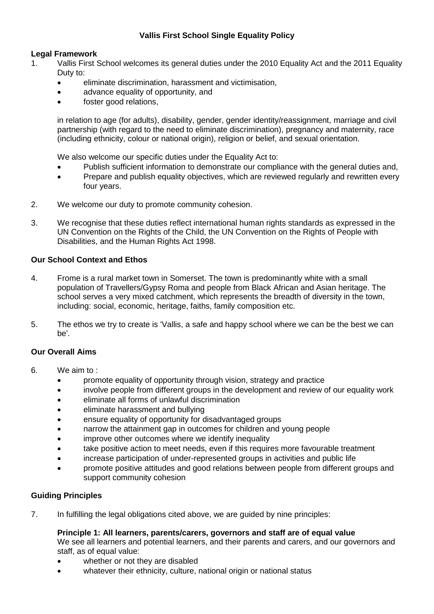## **Vallis First School Single Equality Policy**

## **Legal Framework**

- 1. Vallis First School welcomes its general duties under the 2010 Equality Act and the 2011 Equality Duty to:
	- eliminate discrimination, harassment and victimisation,
	- advance equality of opportunity, and
	- foster good relations.

in relation to age (for adults), disability, gender, gender identity/reassignment, marriage and civil partnership (with regard to the need to eliminate discrimination), pregnancy and maternity, race (including ethnicity, colour or national origin), religion or belief, and sexual orientation.

We also welcome our specific duties under the Equality Act to:

- Publish sufficient information to demonstrate our compliance with the general duties and,
- Prepare and publish equality objectives, which are reviewed regularly and rewritten every four years.
- 2. We welcome our duty to promote community cohesion.
- 3. We recognise that these duties reflect international human rights standards as expressed in the UN Convention on the Rights of the Child, the UN Convention on the Rights of People with Disabilities, and the Human Rights Act 1998.

## **Our School Context and Ethos**

- 4. Frome is a rural market town in Somerset. The town is predominantly white with a small population of Travellers/Gypsy Roma and people from Black African and Asian heritage. The school serves a very mixed catchment, which represents the breadth of diversity in the town, including: social, economic, heritage, faiths, family composition etc.
- 5. The ethos we try to create is 'Vallis, a safe and happy school where we can be the best we can be'.

## **Our Overall Aims**

- 6. We aim to :
	- promote equality of opportunity through vision, strategy and practice
	- involve people from different groups in the development and review of our equality work
	- eliminate all forms of unlawful discrimination
	- eliminate harassment and bullying
	- ensure equality of opportunity for disadvantaged groups
	- narrow the attainment gap in outcomes for children and young people
	- improve other outcomes where we identify inequality
	- take positive action to meet needs, even if this requires more favourable treatment
	- increase participation of under-represented groups in activities and public life
	- promote positive attitudes and good relations between people from different groups and support community cohesion

## **Guiding Principles**

7. In fulfilling the legal obligations cited above, we are guided by nine principles:

## **Principle 1: All learners, parents/carers, governors and staff are of equal value**

We see all learners and potential learners, and their parents and carers, and our governors and staff, as of equal value:

- whether or not they are disabled
- whatever their ethnicity, culture, national origin or national status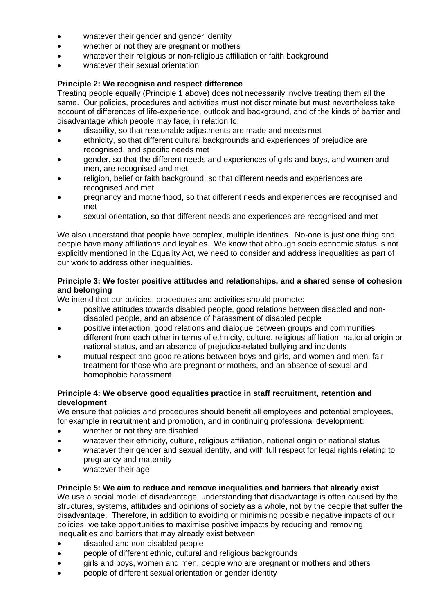- whatever their gender and gender identity
- whether or not they are pregnant or mothers
- whatever their religious or non-religious affiliation or faith background
- whatever their sexual orientation

## **Principle 2: We recognise and respect difference**

Treating people equally (Principle 1 above) does not necessarily involve treating them all the same. Our policies, procedures and activities must not discriminate but must nevertheless take account of differences of life-experience, outlook and background, and of the kinds of barrier and disadvantage which people may face, in relation to:

- disability, so that reasonable adjustments are made and needs met
- ethnicity, so that different cultural backgrounds and experiences of prejudice are recognised, and specific needs met
- gender, so that the different needs and experiences of girls and boys, and women and men, are recognised and met
- religion, belief or faith background, so that different needs and experiences are recognised and met
- pregnancy and motherhood, so that different needs and experiences are recognised and met
- sexual orientation, so that different needs and experiences are recognised and met

We also understand that people have complex, multiple identities. No-one is just one thing and people have many affiliations and loyalties. We know that although socio economic status is not explicitly mentioned in the Equality Act, we need to consider and address inequalities as part of our work to address other inequalities.

#### **Principle 3: We foster positive attitudes and relationships, and a shared sense of cohesion and belonging**

We intend that our policies, procedures and activities should promote:

- positive attitudes towards disabled people, good relations between disabled and nondisabled people, and an absence of harassment of disabled people
- positive interaction, good relations and dialogue between groups and communities different from each other in terms of ethnicity, culture, religious affiliation, national origin or national status, and an absence of prejudice-related bullying and incidents
- mutual respect and good relations between boys and girls, and women and men, fair treatment for those who are pregnant or mothers, and an absence of sexual and homophobic harassment

## **Principle 4: We observe good equalities practice in staff recruitment, retention and development**

We ensure that policies and procedures should benefit all employees and potential employees, for example in recruitment and promotion, and in continuing professional development:

- whether or not they are disabled
- whatever their ethnicity, culture, religious affiliation, national origin or national status
- whatever their gender and sexual identity, and with full respect for legal rights relating to pregnancy and maternity
- whatever their age

## **Principle 5: We aim to reduce and remove inequalities and barriers that already exist**

We use a social model of disadvantage, understanding that disadvantage is often caused by the structures, systems, attitudes and opinions of society as a whole, not by the people that suffer the disadvantage. Therefore, in addition to avoiding or minimising possible negative impacts of our policies, we take opportunities to maximise positive impacts by reducing and removing inequalities and barriers that may already exist between:

- disabled and non-disabled people
- people of different ethnic, cultural and religious backgrounds
- girls and boys, women and men, people who are pregnant or mothers and others
- people of different sexual orientation or gender identity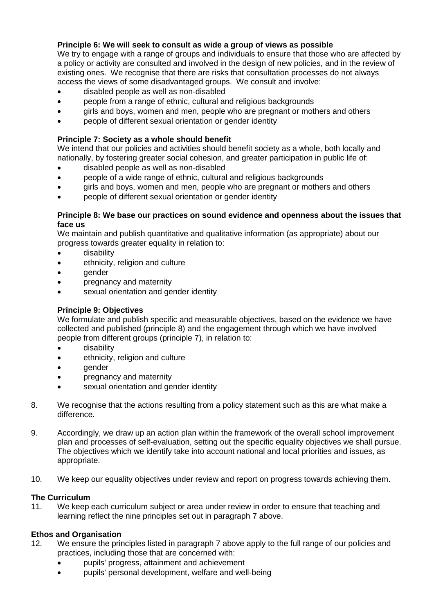## **Principle 6: We will seek to consult as wide a group of views as possible**

We try to engage with a range of groups and individuals to ensure that those who are affected by a policy or activity are consulted and involved in the design of new policies, and in the review of existing ones. We recognise that there are risks that consultation processes do not always access the views of some disadvantaged groups. We consult and involve:

- disabled people as well as non-disabled
- people from a range of ethnic, cultural and religious backgrounds
- airls and boys, women and men, people who are pregnant or mothers and others
- people of different sexual orientation or gender identity

## **Principle 7: Society as a whole should benefit**

We intend that our policies and activities should benefit society as a whole, both locally and nationally, by fostering greater social cohesion, and greater participation in public life of:

- disabled people as well as non-disabled
- people of a wide range of ethnic, cultural and religious backgrounds
- girls and boys, women and men, people who are pregnant or mothers and others
- people of different sexual orientation or gender identity

#### **Principle 8: We base our practices on sound evidence and openness about the issues that face us**

We maintain and publish quantitative and qualitative information (as appropriate) about our progress towards greater equality in relation to:

- disability
- ethnicity, religion and culture
- aender
- pregnancy and maternity
- sexual orientation and gender identity

## **Principle 9: Objectives**

We formulate and publish specific and measurable objectives, based on the evidence we have collected and published (principle 8) and the engagement through which we have involved people from different groups (principle 7), in relation to:

- disability
- ethnicity, religion and culture
- gender
- **pregnancy and maternity**
- sexual orientation and gender identity
- 8. We recognise that the actions resulting from a policy statement such as this are what make a difference.
- 9. Accordingly, we draw up an action plan within the framework of the overall school improvement plan and processes of self-evaluation, setting out the specific equality objectives we shall pursue. The objectives which we identify take into account national and local priorities and issues, as appropriate.
- 10. We keep our equality objectives under review and report on progress towards achieving them.

## **The Curriculum**

11. We keep each curriculum subject or area under review in order to ensure that teaching and learning reflect the nine principles set out in paragraph 7 above.

## **Ethos and Organisation**

- 12. We ensure the principles listed in paragraph 7 above apply to the full range of our policies and practices, including those that are concerned with:
	- pupils' progress, attainment and achievement
	- pupils' personal development, welfare and well-being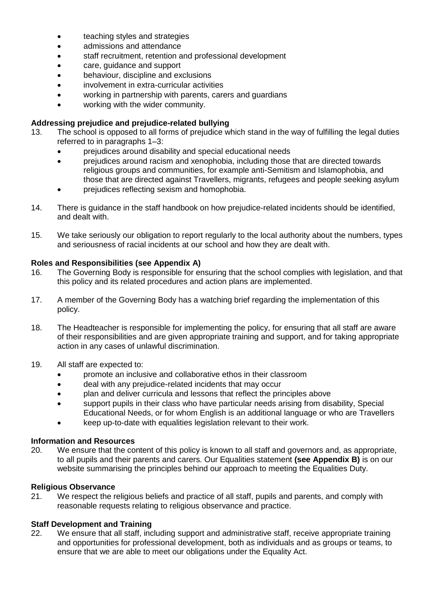- teaching styles and strategies
- admissions and attendance
- staff recruitment, retention and professional development
- care, guidance and support
- behaviour, discipline and exclusions
- involvement in extra-curricular activities
- working in partnership with parents, carers and guardians
- working with the wider community.

## **Addressing prejudice and prejudice-related bullying**

- 13. The school is opposed to all forms of prejudice which stand in the way of fulfilling the legal duties referred to in paragraphs 1–3:
	- prejudices around disability and special educational needs
	- prejudices around racism and xenophobia, including those that are directed towards religious groups and communities, for example anti-Semitism and Islamophobia, and those that are directed against Travellers, migrants, refugees and people seeking asylum
	- prejudices reflecting sexism and homophobia.
- 14. There is guidance in the staff handbook on how prejudice-related incidents should be identified, and dealt with.
- 15. We take seriously our obligation to report regularly to the local authority about the numbers, types and seriousness of racial incidents at our school and how they are dealt with.

## **Roles and Responsibilities (see Appendix A)**

- 16. The Governing Body is responsible for ensuring that the school complies with legislation, and that this policy and its related procedures and action plans are implemented.
- 17. A member of the Governing Body has a watching brief regarding the implementation of this policy.
- 18. The Headteacher is responsible for implementing the policy, for ensuring that all staff are aware of their responsibilities and are given appropriate training and support, and for taking appropriate action in any cases of unlawful discrimination.
- 19. All staff are expected to:
	- promote an inclusive and collaborative ethos in their classroom
	- deal with any prejudice-related incidents that may occur
	- plan and deliver curricula and lessons that reflect the principles above
	- support pupils in their class who have particular needs arising from disability, Special Educational Needs, or for whom English is an additional language or who are Travellers
	- keep up-to-date with equalities legislation relevant to their work.

## **Information and Resources**

20. We ensure that the content of this policy is known to all staff and governors and, as appropriate, to all pupils and their parents and carers. Our Equalities statement **(see Appendix B)** is on our website summarising the principles behind our approach to meeting the Equalities Duty.

## **Religious Observance**

21. We respect the religious beliefs and practice of all staff, pupils and parents, and comply with reasonable requests relating to religious observance and practice.

## **Staff Development and Training**

22. We ensure that all staff, including support and administrative staff, receive appropriate training and opportunities for professional development, both as individuals and as groups or teams, to ensure that we are able to meet our obligations under the Equality Act.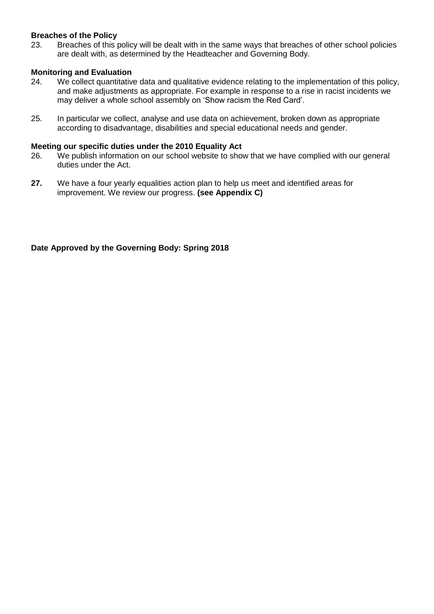## **Breaches of the Policy**

23. Breaches of this policy will be dealt with in the same ways that breaches of other school policies are dealt with, as determined by the Headteacher and Governing Body.

## **Monitoring and Evaluation**

- 24. We collect quantitative data and qualitative evidence relating to the implementation of this policy, and make adjustments as appropriate. For example in response to a rise in racist incidents we may deliver a whole school assembly on 'Show racism the Red Card'.
- 25. In particular we collect, analyse and use data on achievement, broken down as appropriate according to disadvantage, disabilities and special educational needs and gender.

## **Meeting our specific duties under the 2010 Equality Act**

- 26. We publish information on our school website to show that we have complied with our general duties under the Act.
- **27.** We have a four yearly equalities action plan to help us meet and identified areas for improvement. We review our progress. **(see Appendix C)**

**Date Approved by the Governing Body: Spring 2018**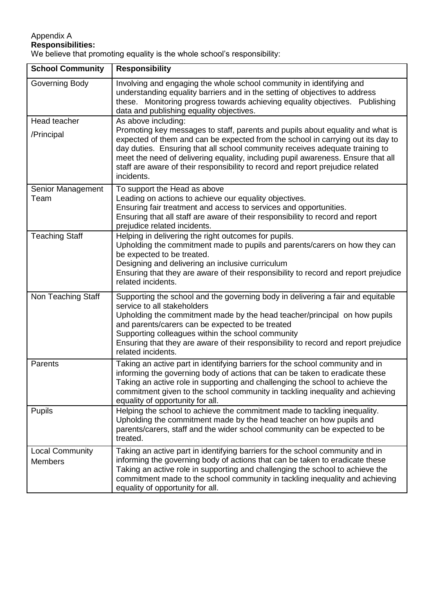## Appendix A **Responsibilities:**

We believe that promoting equality is the whole school's responsibility:

| <b>School Community</b>                  | <b>Responsibility</b>                                                                                                                                                                                                                                                                                                                                                                                                                                        |
|------------------------------------------|--------------------------------------------------------------------------------------------------------------------------------------------------------------------------------------------------------------------------------------------------------------------------------------------------------------------------------------------------------------------------------------------------------------------------------------------------------------|
| Governing Body                           | Involving and engaging the whole school community in identifying and<br>understanding equality barriers and in the setting of objectives to address<br>these. Monitoring progress towards achieving equality objectives. Publishing<br>data and publishing equality objectives.                                                                                                                                                                              |
| Head teacher<br>/Principal               | As above including:<br>Promoting key messages to staff, parents and pupils about equality and what is<br>expected of them and can be expected from the school in carrying out its day to<br>day duties. Ensuring that all school community receives adequate training to<br>meet the need of delivering equality, including pupil awareness. Ensure that all<br>staff are aware of their responsibility to record and report prejudice related<br>incidents. |
| Senior Management<br>Team                | To support the Head as above<br>Leading on actions to achieve our equality objectives.<br>Ensuring fair treatment and access to services and opportunities.<br>Ensuring that all staff are aware of their responsibility to record and report<br>prejudice related incidents.                                                                                                                                                                                |
| <b>Teaching Staff</b>                    | Helping in delivering the right outcomes for pupils.<br>Upholding the commitment made to pupils and parents/carers on how they can<br>be expected to be treated.<br>Designing and delivering an inclusive curriculum<br>Ensuring that they are aware of their responsibility to record and report prejudice<br>related incidents.                                                                                                                            |
| Non Teaching Staff                       | Supporting the school and the governing body in delivering a fair and equitable<br>service to all stakeholders<br>Upholding the commitment made by the head teacher/principal on how pupils<br>and parents/carers can be expected to be treated<br>Supporting colleagues within the school community<br>Ensuring that they are aware of their responsibility to record and report prejudice<br>related incidents.                                            |
| Parents                                  | Taking an active part in identifying barriers for the school community and in<br>informing the governing body of actions that can be taken to eradicate these<br>Taking an active role in supporting and challenging the school to achieve the<br>commitment given to the school community in tackling inequality and achieving<br>equality of opportunity for all.                                                                                          |
| <b>Pupils</b>                            | Helping the school to achieve the commitment made to tackling inequality.<br>Upholding the commitment made by the head teacher on how pupils and<br>parents/carers, staff and the wider school community can be expected to be<br>treated.                                                                                                                                                                                                                   |
| <b>Local Community</b><br><b>Members</b> | Taking an active part in identifying barriers for the school community and in<br>informing the governing body of actions that can be taken to eradicate these<br>Taking an active role in supporting and challenging the school to achieve the<br>commitment made to the school community in tackling inequality and achieving<br>equality of opportunity for all.                                                                                           |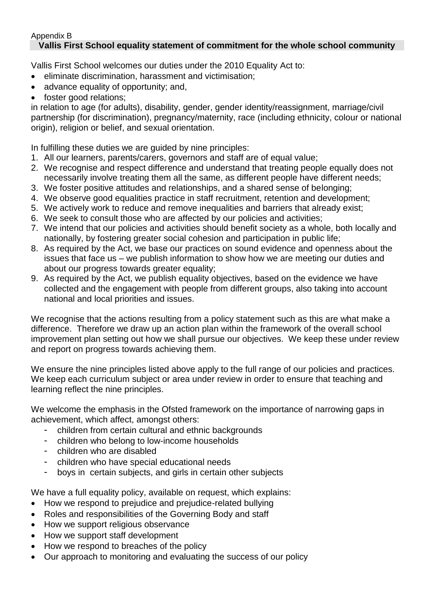## Appendix B **Vallis First School equality statement of commitment for the whole school community**

Vallis First School welcomes our duties under the 2010 Equality Act to:

- eliminate discrimination, harassment and victimisation;
- advance equality of opportunity; and,
- foster good relations;

in relation to age (for adults), disability, gender, gender identity/reassignment, marriage/civil partnership (for discrimination), pregnancy/maternity, race (including ethnicity, colour or national origin), religion or belief, and sexual orientation.

In fulfilling these duties we are guided by nine principles:

- 1. All our learners, parents/carers, governors and staff are of equal value;
- 2. We recognise and respect difference and understand that treating people equally does not necessarily involve treating them all the same, as different people have different needs;
- 3. We foster positive attitudes and relationships, and a shared sense of belonging;
- 4. We observe good equalities practice in staff recruitment, retention and development;
- 5. We actively work to reduce and remove inequalities and barriers that already exist;
- 6. We seek to consult those who are affected by our policies and activities;
- 7. We intend that our policies and activities should benefit society as a whole, both locally and nationally, by fostering greater social cohesion and participation in public life;
- 8. As required by the Act, we base our practices on sound evidence and openness about the issues that face us – we publish information to show how we are meeting our duties and about our progress towards greater equality;
- 9. As required by the Act, we publish equality objectives, based on the evidence we have collected and the engagement with people from different groups, also taking into account national and local priorities and issues.

We recognise that the actions resulting from a policy statement such as this are what make a difference. Therefore we draw up an action plan within the framework of the overall school improvement plan setting out how we shall pursue our objectives. We keep these under review and report on progress towards achieving them.

We ensure the nine principles listed above apply to the full range of our policies and practices. We keep each curriculum subject or area under review in order to ensure that teaching and learning reflect the nine principles.

We welcome the emphasis in the Ofsted framework on the importance of narrowing gaps in achievement, which affect, amongst others:

- children from certain cultural and ethnic backgrounds
- children who belong to low-income households
- children who are disabled
- children who have special educational needs
- boys in certain subjects, and girls in certain other subjects

We have a full equality policy, available on request, which explains:

- How we respond to prejudice and prejudice-related bullying
- Roles and responsibilities of the Governing Body and staff
- How we support religious observance
- How we support staff development
- How we respond to breaches of the policy
- Our approach to monitoring and evaluating the success of our policy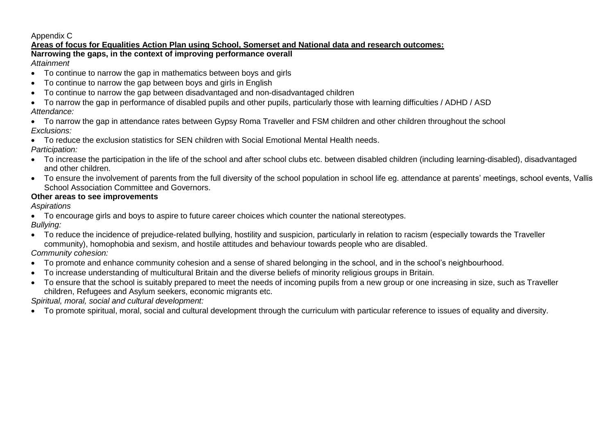## Appendix C

## **Areas of focus for Equalities Action Plan using School, Somerset and National data and research outcomes:**

**Narrowing the gaps, in the context of improving performance overall** *Attainment*

- To continue to narrow the gap in mathematics between boys and girls
- To continue to narrow the gap between boys and girls in English
- To continue to narrow the gap between disadvantaged and non-disadvantaged children
- To narrow the gap in performance of disabled pupils and other pupils, particularly those with learning difficulties / ADHD / ASD *Attendance:*
- To narrow the gap in attendance rates between Gypsy Roma Traveller and FSM children and other children throughout the school *Exclusions:*
- To reduce the exclusion statistics for SEN children with Social Emotional Mental Health needs.

*Participation:*

- To increase the participation in the life of the school and after school clubs etc. between disabled children (including learning-disabled), disadvantaged and other children.
- To ensure the involvement of parents from the full diversity of the school population in school life eg. attendance at parents' meetings, school events, Vallis School Association Committee and Governors.

## **Other areas to see improvements**

*Aspirations*

To encourage girls and boys to aspire to future career choices which counter the national stereotypes.

*Bullying:*

 To reduce the incidence of prejudice-related bullying, hostility and suspicion, particularly in relation to racism (especially towards the Traveller community), homophobia and sexism, and hostile attitudes and behaviour towards people who are disabled.

*Community cohesion:*

- To promote and enhance community cohesion and a sense of shared belonging in the school, and in the school's neighbourhood.
- To increase understanding of multicultural Britain and the diverse beliefs of minority religious groups in Britain.
- To ensure that the school is suitably prepared to meet the needs of incoming pupils from a new group or one increasing in size, such as Traveller children, Refugees and Asylum seekers, economic migrants etc.

*Spiritual, moral, social and cultural development:*

To promote spiritual, moral, social and cultural development through the curriculum with particular reference to issues of equality and diversity.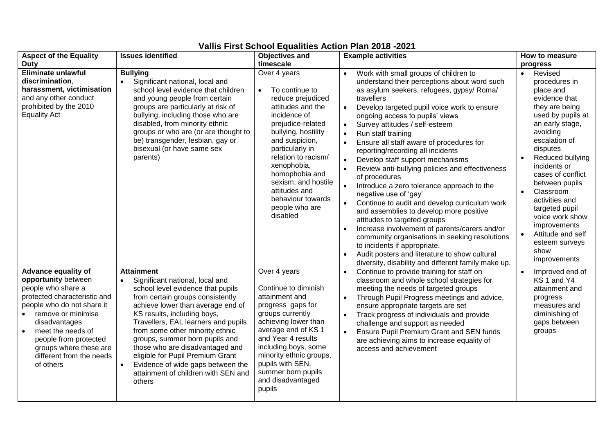| <b>Aspect of the Equality</b>                                                                                                                                                                                                                                                                       | <b>Issues identified</b>                                                                                                                                                                                                                                                                                                                                                                                                                                                   | <b>Objectives and</b>                                                                                                                                                                                                                                                                                                                     | <b>Example activities</b>                                                                                                                                                                                                                                                                                                                                                                                                                                                                                                                                                                                                                                                                                                                                                                                                                                                                                                                                                                                                                 | How to measure                                                                                                                                                                                                                                                                                                                                                                                       |
|-----------------------------------------------------------------------------------------------------------------------------------------------------------------------------------------------------------------------------------------------------------------------------------------------------|----------------------------------------------------------------------------------------------------------------------------------------------------------------------------------------------------------------------------------------------------------------------------------------------------------------------------------------------------------------------------------------------------------------------------------------------------------------------------|-------------------------------------------------------------------------------------------------------------------------------------------------------------------------------------------------------------------------------------------------------------------------------------------------------------------------------------------|-------------------------------------------------------------------------------------------------------------------------------------------------------------------------------------------------------------------------------------------------------------------------------------------------------------------------------------------------------------------------------------------------------------------------------------------------------------------------------------------------------------------------------------------------------------------------------------------------------------------------------------------------------------------------------------------------------------------------------------------------------------------------------------------------------------------------------------------------------------------------------------------------------------------------------------------------------------------------------------------------------------------------------------------|------------------------------------------------------------------------------------------------------------------------------------------------------------------------------------------------------------------------------------------------------------------------------------------------------------------------------------------------------------------------------------------------------|
| <b>Duty</b>                                                                                                                                                                                                                                                                                         |                                                                                                                                                                                                                                                                                                                                                                                                                                                                            | timescale                                                                                                                                                                                                                                                                                                                                 |                                                                                                                                                                                                                                                                                                                                                                                                                                                                                                                                                                                                                                                                                                                                                                                                                                                                                                                                                                                                                                           | progress                                                                                                                                                                                                                                                                                                                                                                                             |
| <b>Eliminate unlawful</b><br>discrimination,<br>harassment, victimisation<br>and any other conduct<br>prohibited by the 2010<br><b>Equality Act</b>                                                                                                                                                 | <b>Bullying</b><br>Significant national, local and<br>school level evidence that children<br>and young people from certain<br>groups are particularly at risk of<br>bullying, including those who are<br>disabled, from minority ethnic<br>groups or who are (or are thought to<br>be) transgender, lesbian, gay or<br>bisexual (or have same sex<br>parents)                                                                                                              | Over 4 years<br>To continue to<br>$\bullet$<br>reduce prejudiced<br>attitudes and the<br>incidence of<br>prejudice-related<br>bullying, hostility<br>and suspicion,<br>particularly in<br>relation to racism/<br>xenophobia,<br>homophobia and<br>sexism, and hostile<br>attitudes and<br>behaviour towards<br>people who are<br>disabled | Work with small groups of children to<br>understand their perceptions about word such<br>as asylum seekers, refugees, gypsy/ Roma/<br>travellers<br>$\bullet$<br>Develop targeted pupil voice work to ensure<br>ongoing access to pupils' views<br>Survey attitudes / self-esteem<br>$\bullet$<br>Run staff training<br>$\bullet$<br>Ensure all staff aware of procedures for<br>$\bullet$<br>reporting/recording all incidents<br>Develop staff support mechanisms<br>$\bullet$<br>Review anti-bullying policies and effectiveness<br>of procedures<br>$\bullet$<br>Introduce a zero tolerance approach to the<br>negative use of 'gay'<br>Continue to audit and develop curriculum work<br>$\bullet$<br>and assemblies to develop more positive<br>attitudes to targeted groups<br>Increase involvement of parents/carers and/or<br>community organisations in seeking resolutions<br>to incidents if appropriate.<br>Audit posters and literature to show cultural<br>$\bullet$<br>diversity, disability and different family make up. | Revised<br>$\bullet$<br>procedures in<br>place and<br>evidence that<br>they are being<br>used by pupils at<br>an early stage,<br>avoiding<br>escalation of<br>disputes<br>Reduced bullying<br>incidents or<br>cases of conflict<br>between pupils<br>Classroom<br>activities and<br>targeted pupil<br>voice work show<br>improvements<br>Attitude and self<br>esteem surveys<br>show<br>improvements |
| Advance equality of<br>opportunity between<br>people who share a<br>protected characteristic and<br>people who do not share it<br>remove or minimise<br>disadvantages<br>meet the needs of<br>$\bullet$<br>people from protected<br>groups where these are<br>different from the needs<br>of others | <b>Attainment</b><br>Significant national, local and<br>school level evidence that pupils<br>from certain groups consistently<br>achieve lower than average end of<br>KS results, including boys,<br>Travellers, EAL learners and pupils<br>from some other minority ethnic<br>groups, summer born pupils and<br>those who are disadvantaged and<br>eligible for Pupil Premium Grant<br>Evidence of wide gaps between the<br>attainment of children with SEN and<br>others | Over 4 years<br>Continue to diminish<br>attainment and<br>progress gaps for<br>groups currently<br>achieving lower than<br>average end of KS 1<br>and Year 4 results<br>including boys, some<br>minority ethnic groups,<br>pupils with SEN,<br>summer born pupils<br>and disadvantaged<br>pupils                                          | Continue to provide training for staff on<br>$\bullet$<br>classroom and whole school strategies for<br>meeting the needs of targeted groups<br>Through Pupil Progress meetings and advice,<br>$\bullet$<br>ensure appropriate targets are set<br>Track progress of individuals and provide<br>$\bullet$<br>challenge and support as needed<br><b>Ensure Pupil Premium Grant and SEN funds</b><br>are achieving aims to increase equality of<br>access and achievement                                                                                                                                                                                                                                                                                                                                                                                                                                                                                                                                                                     | Improved end of<br>KS 1 and Y4<br>attainment and<br>progress<br>measures and<br>diminishing of<br>gaps between<br>groups                                                                                                                                                                                                                                                                             |

# **Vallis First School Equalities Action Plan 2018 -2021**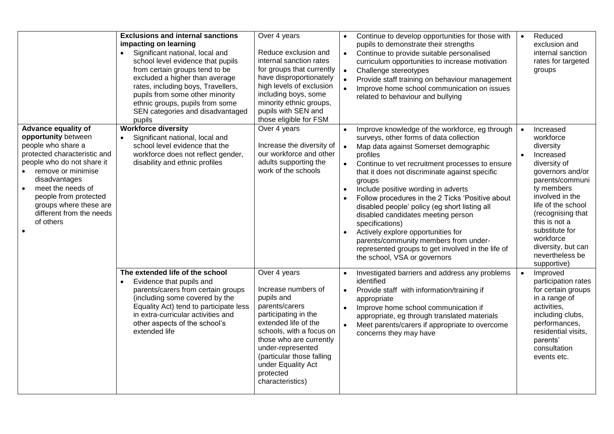|                                                                                                                                                                                                                                                                                                                         | <b>Exclusions and internal sanctions</b><br>impacting on learning<br>Significant national, local and<br>school level evidence that pupils<br>from certain groups tend to be<br>excluded a higher than average<br>rates, including boys, Travellers,<br>pupils from some other minority<br>ethnic groups, pupils from some<br>SEN categories and disadvantaged<br>pupils | Over 4 years<br>Reduce exclusion and<br>internal sanction rates<br>for groups that currently<br>have disproportionately<br>high levels of exclusion<br>including boys, some<br>minority ethnic groups,<br>pupils with SEN and<br>those eligible for FSM                             | Continue to develop opportunities for those with<br>pupils to demonstrate their strengths<br>$\bullet$<br>Continue to provide suitable personalised<br>curriculum opportunities to increase motivation<br>Challenge stereotypes<br>$\bullet$<br>Provide staff training on behaviour management<br>$\bullet$<br>Improve home school communication on issues<br>related to behaviour and bullying                                                                                                                                                                                                                                                                                                         | Reduced<br>$\bullet$<br>exclusion and<br>internal sanction<br>rates for targeted<br>groups                                                                                                                                                                                                  |
|-------------------------------------------------------------------------------------------------------------------------------------------------------------------------------------------------------------------------------------------------------------------------------------------------------------------------|-------------------------------------------------------------------------------------------------------------------------------------------------------------------------------------------------------------------------------------------------------------------------------------------------------------------------------------------------------------------------|-------------------------------------------------------------------------------------------------------------------------------------------------------------------------------------------------------------------------------------------------------------------------------------|---------------------------------------------------------------------------------------------------------------------------------------------------------------------------------------------------------------------------------------------------------------------------------------------------------------------------------------------------------------------------------------------------------------------------------------------------------------------------------------------------------------------------------------------------------------------------------------------------------------------------------------------------------------------------------------------------------|---------------------------------------------------------------------------------------------------------------------------------------------------------------------------------------------------------------------------------------------------------------------------------------------|
| <b>Advance equality of</b><br>opportunity between<br>people who share a<br>protected characteristic and<br>people who do not share it<br>remove or minimise<br>disadvantages<br>meet the needs of<br>$\bullet$<br>people from protected<br>groups where these are<br>different from the needs<br>of others<br>$\bullet$ | <b>Workforce diversity</b><br>Significant national, local and<br>school level evidence that the<br>workforce does not reflect gender,<br>disability and ethnic profiles                                                                                                                                                                                                 | Over 4 years<br>Increase the diversity of<br>our workforce and other<br>adults supporting the<br>work of the schools                                                                                                                                                                | Improve knowledge of the workforce, eg through<br>$\bullet$<br>surveys, other forms of data collection<br>Map data against Somerset demographic<br>$\bullet$<br>profiles<br>Continue to vet recruitment processes to ensure<br>$\bullet$<br>that it does not discriminate against specific<br>groups<br>Include positive wording in adverts<br>$\bullet$<br>Follow procedures in the 2 Ticks 'Positive about<br>disabled people' policy (eg short listing all<br>disabled candidates meeting person<br>specifications)<br>Actively explore opportunities for<br>$\bullet$<br>parents/community members from under-<br>represented groups to get involved in the life of<br>the school, VSA or governors | Increased<br>workforce<br>diversity<br>Increased<br>diversity of<br>governors and/or<br>parents/communi<br>ty members<br>involved in the<br>life of the school<br>(recognising that<br>this is not a<br>substitute for<br>workforce<br>diversity, but can<br>nevertheless be<br>supportive) |
|                                                                                                                                                                                                                                                                                                                         | The extended life of the school<br>Evidence that pupils and<br>parents/carers from certain groups<br>(including some covered by the<br>Equality Act) tend to participate less<br>in extra-curricular activities and<br>other aspects of the school's<br>extended life                                                                                                   | Over 4 years<br>Increase numbers of<br>pupils and<br>parents/carers<br>participating in the<br>extended life of the<br>schools, with a focus on<br>those who are currently<br>under-represented<br>(particular those falling<br>under Equality Act<br>protected<br>characteristics) | Investigated barriers and address any problems<br>identified<br>Provide staff with information/training if<br>$\bullet$<br>appropriate<br>Improve home school communication if<br>$\bullet$<br>appropriate, eg through translated materials<br>Meet parents/carers if appropriate to overcome<br>$\bullet$<br>concerns they may have                                                                                                                                                                                                                                                                                                                                                                    | Improved<br>participation rates<br>for certain groups<br>in a range of<br>activities,<br>including clubs,<br>performances,<br>residential visits,<br>parents'<br>consultation<br>events etc.                                                                                                |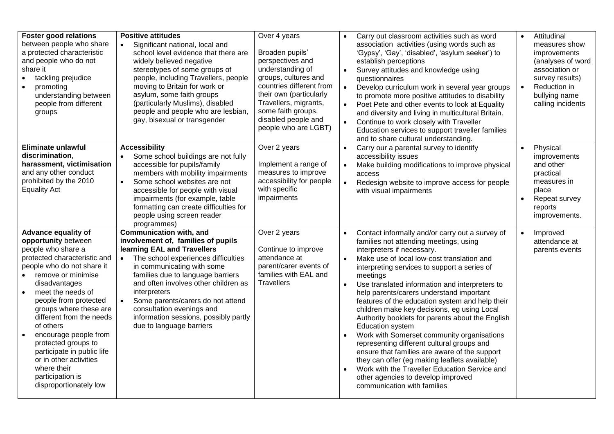| <b>Foster good relations</b>                                                                                                                                                                                                                                                                                                                                                                                                                                             | <b>Positive attitudes</b>                                                                                                                                                                                                                                                                                                                                                                                                              | Over 4 years                                                                                                                                                                                                                         | Carry out classroom activities such as word<br>$\bullet$                                                                                                                                                                                                                                                                                                                                                                                                                                                                                                                                                                                                                                                                                                                                                                                                                    | Attitudinal<br>$\bullet$                                                                                                                                   |
|--------------------------------------------------------------------------------------------------------------------------------------------------------------------------------------------------------------------------------------------------------------------------------------------------------------------------------------------------------------------------------------------------------------------------------------------------------------------------|----------------------------------------------------------------------------------------------------------------------------------------------------------------------------------------------------------------------------------------------------------------------------------------------------------------------------------------------------------------------------------------------------------------------------------------|--------------------------------------------------------------------------------------------------------------------------------------------------------------------------------------------------------------------------------------|-----------------------------------------------------------------------------------------------------------------------------------------------------------------------------------------------------------------------------------------------------------------------------------------------------------------------------------------------------------------------------------------------------------------------------------------------------------------------------------------------------------------------------------------------------------------------------------------------------------------------------------------------------------------------------------------------------------------------------------------------------------------------------------------------------------------------------------------------------------------------------|------------------------------------------------------------------------------------------------------------------------------------------------------------|
| between people who share<br>a protected characteristic<br>and people who do not<br>share it<br>tackling prejudice<br>promoting<br>understanding between<br>people from different<br>groups                                                                                                                                                                                                                                                                               | Significant national, local and<br>$\bullet$<br>school level evidence that there are<br>widely believed negative<br>stereotypes of some groups of<br>people, including Travellers, people<br>moving to Britain for work or<br>asylum, some faith groups<br>(particularly Muslims), disabled<br>people and people who are lesbian,<br>gay, bisexual or transgender                                                                      | Broaden pupils'<br>perspectives and<br>understanding of<br>groups, cultures and<br>countries different from<br>their own (particularly<br>Travellers, migrants,<br>some faith groups,<br>disabled people and<br>people who are LGBT) | association activities (using words such as<br>'Gypsy', 'Gay', 'disabled', 'asylum seeker') to<br>establish perceptions<br>Survey attitudes and knowledge using<br>$\bullet$<br>questionnaires<br>Develop curriculum work in several year groups<br>$\bullet$<br>to promote more positive attitudes to disability<br>Poet Pete and other events to look at Equality<br>$\bullet$<br>and diversity and living in multicultural Britain.<br>$\bullet$<br>Continue to work closely with Traveller<br>Education services to support traveller families<br>and to share cultural understanding.                                                                                                                                                                                                                                                                                  | measures show<br>improvements<br>(analyses of word<br>association or<br>survey results)<br>Reduction in<br>$\bullet$<br>bullying name<br>calling incidents |
| <b>Eliminate unlawful</b><br>discrimination,<br>harassment, victimisation<br>and any other conduct<br>prohibited by the 2010<br><b>Equality Act</b>                                                                                                                                                                                                                                                                                                                      | <b>Accessibility</b><br>Some school buildings are not fully<br>accessible for pupils/family<br>members with mobility impairments<br>Some school websites are not<br>accessible for people with visual<br>impairments (for example, table<br>formatting can create difficulties for<br>people using screen reader<br>programmes)                                                                                                        | Over 2 years<br>Implement a range of<br>measures to improve<br>accessibility for people<br>with specific<br>impairments                                                                                                              | Carry our a parental survey to identify<br>$\bullet$<br>accessibility issues<br>Make building modifications to improve physical<br>$\bullet$<br>access<br>$\bullet$<br>Redesign website to improve access for people<br>with visual impairments                                                                                                                                                                                                                                                                                                                                                                                                                                                                                                                                                                                                                             | Physical<br>$\bullet$<br>improvements<br>and other<br>practical<br>measures in<br>place<br>Repeat survey<br>$\bullet$<br>reports<br>improvements.          |
| Advance equality of<br>opportunity between<br>people who share a<br>protected characteristic and<br>people who do not share it<br>remove or minimise<br>disadvantages<br>$\bullet$<br>meet the needs of<br>people from protected<br>groups where these are<br>different from the needs<br>of others<br>encourage people from<br>protected groups to<br>participate in public life<br>or in other activities<br>where their<br>participation is<br>disproportionately low | <b>Communication with, and</b><br>involvement of, families of pupils<br>learning EAL and Travellers<br>The school experiences difficulties<br>$\bullet$<br>in communicating with some<br>families due to language barriers<br>and often involves other children as<br>interpreters<br>Some parents/carers do not attend<br>$\bullet$<br>consultation evenings and<br>information sessions, possibly partly<br>due to language barriers | Over 2 years<br>Continue to improve<br>attendance at<br>parent/carer events of<br>families with EAL and<br>Travellers                                                                                                                | Contact informally and/or carry out a survey of<br>$\bullet$<br>families not attending meetings, using<br>interpreters if necessary.<br>Make use of local low-cost translation and<br>$\bullet$<br>interpreting services to support a series of<br>meetings<br>Use translated information and interpreters to<br>$\bullet$<br>help parents/carers understand important<br>features of the education system and help their<br>children make key decisions, eg using Local<br>Authority booklets for parents about the English<br><b>Education system</b><br>Work with Somerset community organisations<br>representing different cultural groups and<br>ensure that families are aware of the support<br>they can offer (eg making leaflets available)<br>Work with the Traveller Education Service and<br>other agencies to develop improved<br>communication with families | Improved<br>$\bullet$<br>attendance at<br>parents events                                                                                                   |